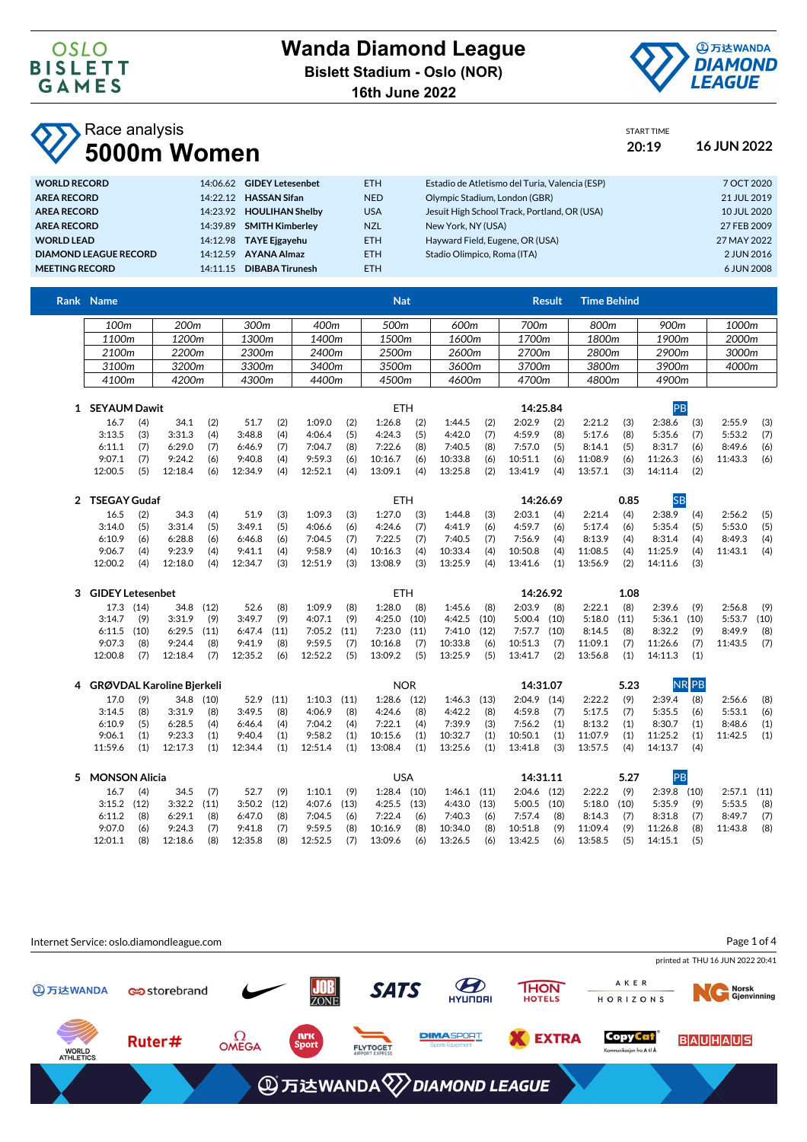

START TIME

**Race analysis** 

| 5000m Women                  |                                    |            |                                                | 20:19 | <b>16 JUN 2022</b> |
|------------------------------|------------------------------------|------------|------------------------------------------------|-------|--------------------|
| <b>WORLD RECORD</b>          | 14:06.62 GIDEY Letesenbet          | <b>ETH</b> | Estadio de Atletismo del Turia, Valencia (ESP) |       | 7 OCT 2020         |
| AREA RECORD                  | 14:22.12 HASSAN Sifan              | <b>NED</b> | Olympic Stadium, London (GBR)                  |       | 21 JUL 2019        |
| AREA RECORD                  | 14:23.92 HOULIHAN Shelby           | <b>USA</b> | Jesuit High School Track, Portland, OR (USA)   |       | 10 JUL 2020        |
| AREA RECORD                  | <b>SMITH Kimberley</b><br>14:39.89 | <b>NZL</b> | New York, NY (USA)                             |       | 27 FEB 2009        |
| <b>WORLD LEAD</b>            | 14:12.98 TAYE Eigayehu             | <b>ETH</b> | Hayward Field, Eugene, OR (USA)                |       | 27 MAY 2022        |
| <b>DIAMOND LEAGUE RECORD</b> | <b>AYANA Almaz</b><br>14:12.59     | <b>ETH</b> | Stadio Olimpico, Roma (ITA)                    |       | 2 JUN 2016         |
| <b>MEETING RECORD</b>        | 14:11.15 DIBABA Tirunesh           | ETH.       |                                                |       | 6 JUN 2008         |

|   | Rank Name                |      |                                  |           |         |       |         |            | <b>Nat</b> |       |                 |          |               | <b>Result</b> | <b>Time Behind</b> |           |               |              |         |      |
|---|--------------------------|------|----------------------------------|-----------|---------|-------|---------|------------|------------|-------|-----------------|----------|---------------|---------------|--------------------|-----------|---------------|--------------|---------|------|
|   | 100m                     |      | 200 <sub>m</sub>                 |           | 300m    |       | 400m    |            | 500m       |       | 600m            |          | 700m          |               | 800m               |           | 900m          |              | 1000m   |      |
|   | 1100m                    |      | 1200m                            |           | 1300m   |       | 1400m   |            | 1500m      |       | 1600m           |          | 1700m         |               | 1800m              |           | 1900m         |              | 2000m   |      |
|   | 2200m<br>2100m           |      |                                  | 2300m     |         | 2400m |         | 2500m      |            | 2600m |                 | 2700m    |               | 2800m         | 2900m              |           | 3000m         |              |         |      |
|   | 3200m<br>3100m           |      |                                  | 3300m     |         | 3400m |         | 3500m      |            | 3600m | 3700m           |          | 3800m         |               | 3900m              |           | 4000m         |              |         |      |
|   | 4100m                    |      | 4200m                            |           | 4300m   |       | 4400m   |            | 4500m      |       | 4600m           |          | 4700m         |               | 4800m              |           | 4900m         |              |         |      |
|   | 1 SEYAUM Dawit           |      |                                  |           |         |       |         |            | <b>ETH</b> |       |                 |          | 14:25.84      |               |                    |           | PB            |              |         |      |
|   | 16.7                     | (4)  | 34.1                             | (2)       | 51.7    | (2)   | 1:09.0  | (2)        | 1:26.8     | (2)   | 1:44.5          | (2)      | 2:02.9        | (2)           | 2:21.2             | (3)       | 2:38.6        | (3)          | 2:55.9  | (3)  |
|   | 3:13.5                   | (3)  | 3:31.3                           | (4)       | 3:48.8  | (4)   | 4:06.4  | (5)        | 4:24.3     | (5)   | 4:42.0          | (7)      | 4:59.9        | (8)           | 5:17.6             | (8)       | 5:35.6        | (7)          | 5:53.2  | (7)  |
|   | 6:11.1                   | (7)  | 6:29.0                           | (7)       | 6:46.9  | (7)   | 7:04.7  | (8)        | 7:22.6     | (8)   | 7:40.5          | (8)      | 7:57.0        | (5)           | 8:14.1             | (5)       | 8:31.7        | (6)          | 8:49.6  | (6)  |
|   | 9:07.1                   | (7)  | 9:24.2                           | (6)       | 9:40.8  | (4)   | 9:59.3  | (6)        | 10:16.7    | (6)   | 10:33.8         | (6)      | 10:51.1       | (6)           | 11:08.9            | (6)       | 11:26.3       | (6)          | 11:43.3 | (6)  |
|   | 12:00.5                  | (5)  | 12:18.4                          | (6)       | 12:34.9 | (4)   | 12:52.1 | (4)        | 13:09.1    | (4)   | 13:25.8         | (2)      | 13:41.9       | (4)           | 13:57.1            | (3)       | 14:11.4       | (2)          |         |      |
|   | <b>TSEGAY Gudaf</b><br>2 |      |                                  |           |         |       |         |            | <b>ETH</b> |       |                 | 14:26.69 |               |               | 0.85               | <b>SB</b> |               |              |         |      |
|   | 16.5                     | (2)  | 34.3                             | (4)       | 51.9    | (3)   | 1:09.3  | (3)        | 1:27.0     | (3)   | 1:44.8          | (3)      | 2:03.1        | (4)           | 2:21.4             | (4)       | 2:38.9        | (4)          | 2:56.2  | (5)  |
|   | 3:14.0                   | (5)  | 3:31.4                           | (5)       | 3:49.1  | (5)   | 4:06.6  | (6)        | 4:24.6     | (7)   | 4:41.9          | (6)      | 4:59.7        | (6)           | 5:17.4             | (6)       | 5:35.4        | (5)          | 5:53.0  | (5)  |
|   | 6:10.9                   | (6)  | 6:28.8                           | (6)       | 6:46.8  | (6)   | 7:04.5  | (7)        | 7:22.5     | (7)   | 7:40.5          | (7)      | 7:56.9        | (4)           | 8:13.9             | (4)       | 8:31.4        | (4)          | 8:49.3  | (4)  |
|   | 9:06.7                   | (4)  | 9:23.9                           | (4)       | 9:41.1  | (4)   | 9:58.9  | (4)        | 10:16.3    | (4)   | 10:33.4         | (4)      | 10:50.8       | (4)           | 11:08.5            | (4)       | 11:25.9       | (4)          | 11:43.1 | (4)  |
|   | 12:00.2                  | (4)  | 12:18.0                          | (4)       | 12:34.7 | (3)   | 12:51.9 | (3)        | 13:08.9    | (3)   | 13:25.9         | (4)      | 13:41.6       | (1)           | 13:56.9            | (2)       | 14:11.6       | (3)          |         |      |
| 3 | <b>GIDEY Letesenbet</b>  |      |                                  |           |         |       |         | <b>ETH</b> |            |       |                 | 14:26.92 |               |               | 1.08               |           |               |              |         |      |
|   | 17.3 (14)                |      | 34.8                             | (12)      | 52.6    | (8)   | 1:09.9  | (8)        | 1:28.0     | (8)   | 1:45.6          | (8)      | 2:03.9        | (8)           | 2:22.1             | (8)       | 2:39.6        | (9)          | 2:56.8  | (9)  |
|   | 3:14.7                   | (9)  | 3:31.9                           | (9)       | 3:49.7  | (9)   | 4:07.1  | (9)        | 4:25.0     | (10)  | 4:42.5          | (10)     | 5:00.4        | (10)          | 5:18.0             | (11)      | 5:36.1        | (10)         | 5:53.7  | (10) |
|   | 6:11.5                   | (10) | 6:29.5                           | (11)      | 6:47.4  | (11)  | 7:05.2  | (11)       | 7:23.0     | (11)  | 7:41.0          | (12)     | 7:57.7        | (10)          | 8:14.5             | (8)       | 8:32.2        | (9)          | 8:49.9  | (8)  |
|   | 9:07.3                   | (8)  | 9:24.4                           | (8)       | 9:41.9  | (8)   | 9:59.5  | (7)        | 10:16.8    | (7)   | 10:33.8         | (6)      | 10:51.3       | (7)           | 11:09.1            | (7)       | 11:26.6       | (7)          | 11:43.5 | (7)  |
|   | 12:00.8                  | (7)  | 12:18.4                          | (7)       | 12:35.2 | (6)   | 12:52.2 | (5)        | 13:09.2    | (5)   | 13:25.9         | (5)      | 13:41.7       | (2)           | 13:56.8            | (1)       | 14:11.3       | (1)          |         |      |
| 4 |                          |      | <b>GRØVDAL Karoline Bjerkeli</b> |           |         |       |         |            | <b>NOR</b> |       |                 |          | 14:31.07      |               |                    | 5.23      |               | <b>NR PB</b> |         |      |
|   | 17.0                     | (9)  |                                  | 34.8 (10) | 52.9    | (11)  | 1:10.3  | (11)       | 1:28.6     | (12)  | 1:46.3          | (13)     | 2:04.9        | (14)          | 2:22.2             | (9)       | 2:39.4        | (8)          | 2:56.6  | (8)  |
|   | 3:14.5                   | (8)  | 3:31.9                           | (8)       | 3:49.5  | (8)   | 4:06.9  | (8)        | 4:24.6     | (8)   | 4:42.2          | (8)      | 4:59.8        | (7)           | 5:17.5             | (7)       | 5:35.5        | (6)          | 5:53.1  | (6)  |
|   | 6:10.9                   | (5)  | 6:28.5                           | (4)       | 6:46.4  | (4)   | 7:04.2  | (4)        | 7:22.1     | (4)   | 7:39.9          | (3)      | 7:56.2        | (1)           | 8:13.2             | (1)       | 8:30.7        | (1)          | 8:48.6  | (1)  |
|   | 9:06.1                   | (1)  | 9:23.3                           | (1)       | 9:40.4  | (1)   | 9:58.2  | (1)        | 10:15.6    | (1)   | 10:32.7         | (1)      | 10:50.1       | (1)           | 11:07.9            | (1)       | 11:25.2       | (1)          | 11:42.5 | (1)  |
|   | 11:59.6                  | (1)  | 12:17.3                          | (1)       | 12:34.4 | (1)   | 12:51.4 | (1)        | 13:08.4    | (1)   | 13:25.6         | (1)      | 13:41.8       | (3)           | 13:57.5            | (4)       | 14:13.7       | (4)          |         |      |
| 5 | <b>MONSON Alicia</b>     |      |                                  |           |         |       |         |            | <b>USA</b> |       |                 |          | 14:31.11      |               |                    | 5.27      | PB            |              |         |      |
|   | 16.7                     | (4)  | 34.5                             | (7)       | 52.7    | (9)   | 1:10.1  | (9)        | 1:28.4     | (10)  | $1:46.1$ (11)   |          | 2:04.6        | (12)          | 2:22.2             | (9)       | $2:39.8$ (10) |              | 2:57.1  | (11) |
|   | 3:15.2                   | (12) | 3:32.2                           | (11)      | 3:50.2  | (12)  | 4:07.6  | (13)       | 4:25.5     | (13)  | $4:43.0$ $(13)$ |          | $5:00.5$ (10) |               | 5:18.0             | (10)      | 5:35.9        | (9)          | 5:53.5  | (8)  |
|   | 6:11.2                   | (8)  | 6:29.1                           | (8)       | 6:47.0  | (8)   | 7:04.5  | (6)        | 7:22.4     | (6)   | 7:40.3          | (6)      | 7:57.4        | (8)           | 8:14.3             | (7)       | 8:31.8        | (7)          | 8:49.7  | (7)  |



12:01.1 (8) 12:18.6 (8) 12:35.8 (8) 12:52.5 (7) 13:09.6 (6) 13:26.5 (6) 13:42.5 (6) 13:58.5 (5) 14:15.1 (5)

9:07.0 (6) 9:24.3 (7) 9:41.8 (7) 9:59.5 (8) 10:16.9 (8) 10:34.0 (8) 10:51.8 (9) 11:09.4 (9) 11:26.8 (8) 11:43.8 (8)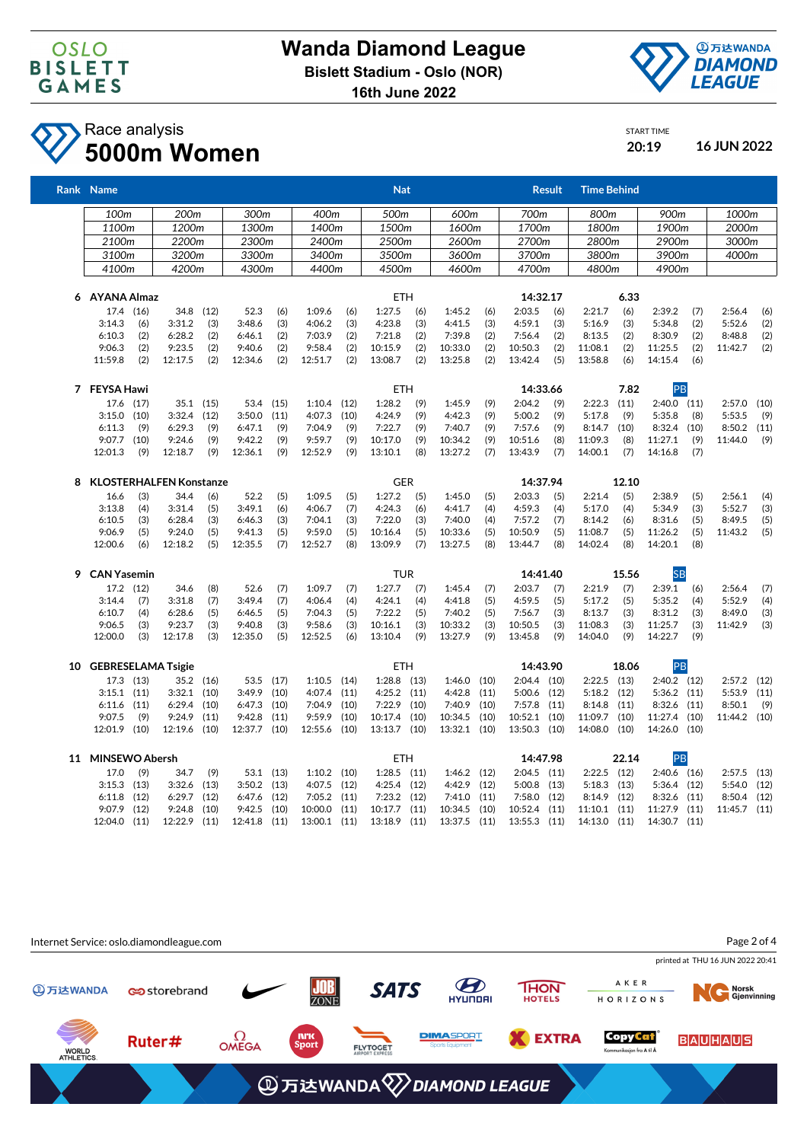



## Race analysis **5000m Women 20:19 16 JUN 2022**

| START TIME |  |
|------------|--|
| 20:19      |  |

|    | Rank Name                 |      |                                |           |           |       |               |      | <b>Nat</b>      |            |               |       |               | <b>Result</b> | <b>Time Behind</b> |       |                 |       |              |       |  |       |       |  |       |  |
|----|---------------------------|------|--------------------------------|-----------|-----------|-------|---------------|------|-----------------|------------|---------------|-------|---------------|---------------|--------------------|-------|-----------------|-------|--------------|-------|--|-------|-------|--|-------|--|
|    | 100m                      |      | 200m                           |           | 300m      |       | 400m          |      | 500m            |            | 600m          |       | 700m          |               | 800m               |       | 900m            |       | 1000m        |       |  |       |       |  |       |  |
|    | 1100m                     |      |                                | 1200m     |           |       |               |      |                 |            |               | 1300m |               | 1400m         |                    | 1500m |                 | 1600m |              | 1700m |  | 1800m | 1900m |  | 2000m |  |
|    | 2100m                     |      |                                | 2200m     |           | 2300m | 2400m         |      | 2500m           |            | 2600m         |       | 2700m         |               | 2800m              |       | 2900m           |       | 3000m        |       |  |       |       |  |       |  |
|    | 3100m                     |      | 3200m                          |           | 3300m     |       | 3400m         |      | 3500m           |            | 3600m         |       | 3700m         |               | 3800m              |       | 3900m           |       | 4000m        |       |  |       |       |  |       |  |
|    | 4100m                     |      | 4200m                          |           | 4300m     |       | 4400m         |      | 4500m           |            | 4600m         |       | 4700m         |               | 4800m              |       | 4900m           |       |              |       |  |       |       |  |       |  |
| 6  | AYANA Almaz               |      |                                |           |           |       |               |      | <b>ETH</b>      |            |               |       | 14:32.17      |               |                    | 6.33  |                 |       |              |       |  |       |       |  |       |  |
|    | 17.4 (16)                 |      |                                | 34.8 (12) | 52.3      | (6)   | 1:09.6        | (6)  | 1:27.5          | (6)        | 1:45.2        | (6)   | 2:03.5        | (6)           | 2:21.7             | (6)   | 2:39.2          | (7)   | 2:56.4       | (6)   |  |       |       |  |       |  |
|    | 3:14.3                    | (6)  | 3:31.2                         | (3)       | 3:48.6    | (3)   | 4:06.2        | (3)  | 4:23.8          | (3)        | 4:41.5        | (3)   | 4:59.1        | (3)           | 5:16.9             | (3)   | 5:34.8          | (2)   | 5:52.6       | (2)   |  |       |       |  |       |  |
|    | 6:10.3                    | (2)  | 6:28.2                         | (2)       | 6:46.1    | (2)   | 7:03.9        | (2)  | 7:21.8          | (2)        | 7:39.8        | (2)   | 7:56.4        | (2)           | 8:13.5             | (2)   | 8:30.9          | (2)   | 8:48.8       | (2)   |  |       |       |  |       |  |
|    | 9:06.3                    | (2)  | 9:23.5                         | (2)       | 9:40.6    | (2)   | 9:58.4        | (2)  | 10:15.9         | (2)        | 10:33.0       | (2)   | 10:50.3       | (2)           | 11:08.1            | (2)   | 11:25.5         | (2)   | 11:42.7      | (2)   |  |       |       |  |       |  |
|    | 11:59.8                   | (2)  | 12:17.5                        | (2)       | 12:34.6   | (2)   | 12:51.7       | (2)  | 13:08.7         | (2)        | 13:25.8       | (2)   | 13:42.4       | (5)           | 13:58.8            | (6)   | 14:15.4         | (6)   |              |       |  |       |       |  |       |  |
|    | 7 FEYSA Hawi              |      |                                |           |           |       |               |      |                 | <b>ETH</b> |               |       | 14:33.66      |               |                    | 7.82  | PB              |       |              |       |  |       |       |  |       |  |
|    | 17.6 (17)                 |      | $35.1$ $(15)$                  |           | 53.4      | (15)  | 1:10.4        | (12) | 1:28.2          | (9)        | 1:45.9        | (9)   | 2:04.2        | (9)           | 2:22.3             | (11)  | $2:40.0$ $(11)$ |       | 2:57.0       | (10)  |  |       |       |  |       |  |
|    | 3:15.0                    | (10) | 3:32.4                         | (12)      | 3:50.0    | (11)  | 4:07.3        | (10) | 4:24.9          | (9)        | 4:42.3        | (9)   | 5:00.2        | (9)           | 5:17.8             | (9)   | 5:35.8          | (8)   | 5:53.5       | (9)   |  |       |       |  |       |  |
|    | 6:11.3                    | (9)  | 6:29.3                         | (9)       | 6:47.1    | (9)   | 7:04.9        | (9)  | 7:22.7          | (9)        | 7:40.7        | (9)   | 7:57.6        | (9)           | 8:14.7             | (10)  | 8:32.4          | (10)  | 8:50.2       | (11)  |  |       |       |  |       |  |
|    | 9:07.7                    | (10) | 9:24.6                         | (9)       | 9:42.2    | (9)   | 9:59.7        | (9)  | 10:17.0         | (9)        | 10:34.2       | (9)   | 10:51.6       | (8)           | 11:09.3            | (8)   | 11:27.1         | (9)   | 11:44.0      | (9)   |  |       |       |  |       |  |
|    | 12:01.3                   | (9)  | 12:18.7                        | (9)       | 12:36.1   | (9)   | 12:52.9       | (9)  | 13:10.1         | (8)        | 13:27.2       | (7)   | 13:43.9       | (7)           | 14:00.1            | (7)   | 14:16.8         | (7)   |              |       |  |       |       |  |       |  |
| 8  |                           |      | <b>KLOSTERHALFEN Konstanze</b> |           |           |       |               |      | <b>GER</b>      |            |               |       | 14:37.94      |               |                    | 12.10 |                 |       |              |       |  |       |       |  |       |  |
|    | 16.6                      | (3)  | 34.4                           | (6)       | 52.2      | (5)   | 1:09.5        | (5)  | 1:27.2          | (5)        | 1:45.0        | (5)   | 2:03.3        | (5)           | 2:21.4             | (5)   | 2:38.9          | (5)   | 2:56.1       | (4)   |  |       |       |  |       |  |
|    | 3:13.8                    | (4)  | 3:31.4                         | (5)       | 3:49.1    | (6)   | 4:06.7        | (7)  | 4:24.3          | (6)        | 4:41.7        | (4)   | 4:59.3        | (4)           | 5:17.0             | (4)   | 5:34.9          | (3)   | 5:52.7       | (3)   |  |       |       |  |       |  |
|    | 6:10.5                    | (3)  | 6:28.4                         | (3)       | 6:46.3    | (3)   | 7:04.1        | (3)  | 7:22.0          | (3)        | 7:40.0        | (4)   | 7:57.2        | (7)           | 8:14.2             | (6)   | 8:31.6          | (5)   | 8:49.5       | (5)   |  |       |       |  |       |  |
|    | 9:06.9                    | (5)  | 9:24.0                         | (5)       | 9:41.3    | (5)   | 9:59.0        | (5)  | 10:16.4         | (5)        | 10:33.6       | (5)   | 10:50.9       | (5)           | 11:08.7            | (5)   | 11:26.2         | (5)   | 11:43.2      | (5)   |  |       |       |  |       |  |
|    | 12:00.6                   | (6)  | 12:18.2                        | (5)       | 12:35.5   | (7)   | 12:52.7       | (8)  | 13:09.9         | (7)        | 13:27.5       | (8)   | 13:44.7       | (8)           | 14:02.4            | (8)   | 14:20.1         | (8)   |              |       |  |       |       |  |       |  |
| 9  | <b>CAN Yasemin</b>        |      |                                |           |           |       |               |      | <b>TUR</b>      |            |               |       | 14:41.40      |               | 15.56              |       | <b>SB</b>       |       |              |       |  |       |       |  |       |  |
|    | 17.2 (12)                 |      | 34.6                           | (8)       | 52.6      | (7)   | 1:09.7        | (7)  | 1:27.7          | (7)        | 1:45.4        | (7)   | 2:03.7        | (7)           | 2:21.9             | (7)   | 2:39.1          | (6)   | 2:56.4       | (7)   |  |       |       |  |       |  |
|    | 3:14.4                    | (7)  | 3:31.8                         | (7)       | 3:49.4    | (7)   | 4:06.4        | (4)  | 4:24.1          | (4)        | 4:41.8        | (5)   | 4:59.5        | (5)           | 5:17.2             | (5)   | 5:35.2          | (4)   | 5:52.9       | (4)   |  |       |       |  |       |  |
|    | 6:10.7                    | (4)  | 6:28.6                         | (5)       | 6:46.5    | (5)   | 7:04.3        | (5)  | 7:22.2          | (5)        | 7:40.2        | (5)   | 7:56.7        | (3)           | 8:13.7             | (3)   | 8:31.2          | (3)   | 8:49.0       | (3)   |  |       |       |  |       |  |
|    | 9:06.5                    | (3)  | 9:23.7                         | (3)       | 9:40.8    | (3)   | 9:58.6        | (3)  | 10:16.1         | (3)        | 10:33.2       | (3)   | 10:50.5       | (3)           | 11:08.3            | (3)   | 11:25.7         | (3)   | 11:42.9      | (3)   |  |       |       |  |       |  |
|    | 12:00.0                   | (3)  | 12:17.8                        | (3)       | 12:35.0   | (5)   | 12:52.5       | (6)  | 13:10.4         | (9)        | 13:27.9       | (9)   | 13:45.8       | (9)           | 14:04.0            | (9)   | 14:22.7         | (9)   |              |       |  |       |       |  |       |  |
| 10 | <b>GEBRESELAMA Tsigie</b> |      |                                |           |           |       |               |      | <b>ETH</b>      |            |               |       | 14:43.90      |               |                    | 18.06 | PB              |       |              |       |  |       |       |  |       |  |
|    | 17.3 (13)                 |      |                                | 35.2 (16) | 53.5      | (17)  | 1:10.5        | (14) | 1:28.8          | (13)       | 1:46.0        | (10)  | $2:04.4$ (10) |               | 2:22.5             | (13)  | $2:40.2$ (12)   |       | 2:57.2       | (12)  |  |       |       |  |       |  |
|    | $3:15.1$ $(11)$           |      | 3:32.1                         | (10)      | 3:49.9    | (10)  | 4:07.4        | (11) | $4:25.2$ $(11)$ |            | 4:42.8        | (11)  | 5:00.6 (12)   |               | $5:18.2$ (12)      |       | $5:36.2$ (11)   |       | 5:53.9       | (11)  |  |       |       |  |       |  |
|    | 6:11.6                    | (11) | 6:29.4                         | (10)      | 6:47.3    | (10)  | 7:04.9        | (10) | 7:22.9          | (10)       | 7:40.9        | (10)  | 7:57.8        | (11)          | 8:14.8             | (11)  | 8:32.6          | (11)  | 8:50.1       | (9)   |  |       |       |  |       |  |
|    | 9:07.5                    | (9)  | 9:24.9                         | (11)      | 9:42.8    | (11)  | 9:59.9        | (10) | 10:17.4         | (10)       | 10:34.5       | (10)  | 10:52.1       | (10)          | 11:09.7            | (10)  | 11:27.4 (10)    |       | 11:44.2 (10) |       |  |       |       |  |       |  |
|    | 12:01.9                   | (10) | 12:19.6                        | (10)      | 12:37.7   | (10)  | 12:55.6       | (10) | 13:13.7         | (10)       | 13:32.1 (10)  |       | 13:50.3       | (10)          | 14:08.0            | (10)  | 14:26.0 (10)    |       |              |       |  |       |       |  |       |  |
|    | 11 MINSEWO Abersh         |      |                                |           |           |       |               |      | <b>ETH</b>      |            | 14:47.98      |       |               |               |                    | 22.14 | PB              |       |              |       |  |       |       |  |       |  |
|    | 17.0                      | (9)  | 34.7                           | (9)       | 53.1 (13) |       | $1:10.2$ (10) |      | 1:28.5          | (11)       | $1:46.2$ (12) |       | 2:04.5        | (11)          | 2:22.5             | (12)  | $2:40.6$ (16)   |       | 2:57.5       | (13)  |  |       |       |  |       |  |
|    | 3:15.3                    | (13) | 3:32.6                         | (13)      | 3:50.2    | (13)  | 4:07.5        | (12) | 4:25.4          | (12)       | 4:42.9        | (12)  | 5:00.8        | (13)          | 5:18.3             | (13)  | $5:36.4$ (12)   |       | 5:54.0       | (12)  |  |       |       |  |       |  |
|    | 6:11.8                    | (12) | 6:29.7                         | (12)      | 6:47.6    | (12)  | 7:05.2        | (11) | 7:23.2          | (12)       | 7:41.0        | (11)  | 7:58.0        | (12)          | 8:14.9             | (12)  | 8:32.6          | (11)  | 8:50.4       | (12)  |  |       |       |  |       |  |
|    | 9:07.9                    | (12) | 9:24.8                         | (10)      | 9:42.5    | (10)  | 10:00.0       | (11) | 10:17.7         | (11)       | 10:34.5       | (10)  | 10:52.4       | (11)          | $11:10.1$ (11)     |       | 11:27.9         | (11)  | 11:45.7      | (11)  |  |       |       |  |       |  |
|    | 12:04.0                   | (11) | 12:22.9                        | (11)      | 12:41.8   | (11)  | 13:00.1       | (11) | 13:18.9         | (11)       | 13:37.5 (11)  |       | 13:55.3       | (11)          | 14:13.0 (11)       |       | 14:30.7 (11)    |       |              |       |  |       |       |  |       |  |

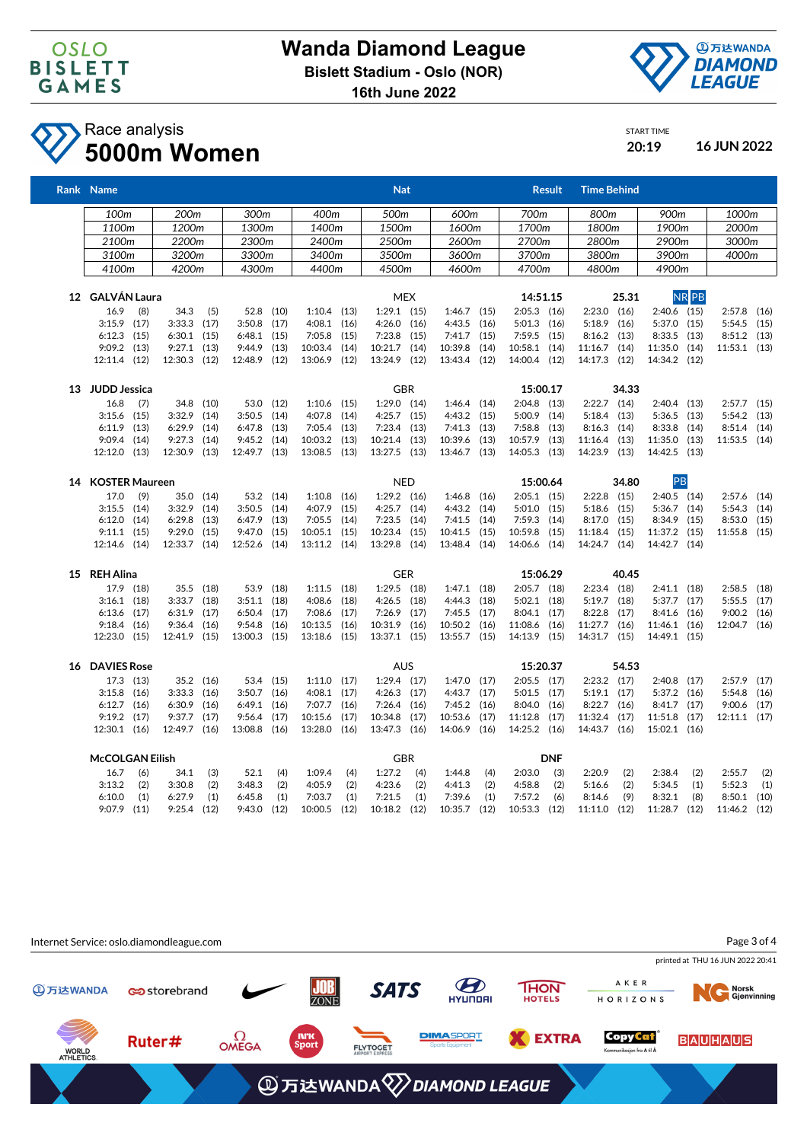



START TIME

## Race analysis **5000m Women 20:19 16 JUN 2022**

| Rank Name              |       |                  |      |                 |       |                 |            | <b>Nat</b>      |            |                 |          |                | <b>Result</b> | <b>Time Behind</b> |       |                 |              |                |      |
|------------------------|-------|------------------|------|-----------------|-------|-----------------|------------|-----------------|------------|-----------------|----------|----------------|---------------|--------------------|-------|-----------------|--------------|----------------|------|
| 100m                   |       | 200 <sub>m</sub> |      | 300m            |       | 400m            |            | 500m            |            | 600m            |          | 700m           |               | 800m               |       | 900m            |              | 1000m          |      |
| 1100m                  |       | 1200m            |      | 1300m           |       | 1400m           |            | 1500m           |            | 1600m           |          | 1700m          |               | 1800m              |       | 1900m           |              | 2000m          |      |
| 2100m                  |       | 2200m            |      | 2300m           |       | 2400m           |            | 2500m           |            | 2600m           |          | 2700m          |               | 2800m              |       | 2900m           |              | 3000m          |      |
| 3100m                  | 3200m |                  |      |                 | 3300m | 3400m           |            | 3500m           |            | 3600m           |          | 3700m          |               | 3800m              |       | 3900m           |              | 4000m          |      |
| 4100m<br>4200m         |       | 4300m            |      | 4400m           |       |                 | 4500m      |                 | 4600m      | 4700m           |          | 4800m          |               | 4900m              |       |                 |              |                |      |
|                        |       |                  |      |                 |       |                 |            |                 |            |                 |          |                |               |                    |       |                 |              |                |      |
| 12 GALVÁN Laura        |       |                  |      |                 |       |                 |            |                 | <b>MEX</b> |                 |          | 14:51.15       |               |                    | 25.31 |                 | <b>NR</b> PB |                |      |
| 16.9                   | (8)   | 34.3             | (5)  | 52.8 (10)       |       | $1:10.4$ (13)   |            | $1:29.1$ (15)   |            | $1:46.7$ (15)   |          | $2:05.3$ (16)  |               | $2:23.0$ $(16)$    |       | $2:40.6$ (15)   |              | $2:57.8$ (16)  |      |
| $3:15.9$ (17)          |       | $3:33.3$ $(17)$  |      | 3:50.8          | (17)  | $4:08.1$ $(16)$ |            | $4:26.0$ $(16)$ |            | 4:43.5 (16)     |          | $5:01.3$ (16)  |               | 5:18.9             | (16)  | 5:37.0 (15)     |              | $5:54.5$ (15)  |      |
| $6:12.3$ $(15)$        |       | 6:30.1           | (15) | $6:48.1$ (15)   |       | $7:05.8$ (15)   |            | 7:23.8          | (15)       | $7:41.7$ (15)   |          | $7:59.5$ (15)  |               | $8:16.2$ (13)      |       | $8:33.5$ (13)   |              | $8:51.2$ (13)  |      |
| $9:09.2$ (13)          |       | 9:27.1           | (13) | 9:44.9          | (13)  | 10:03.4 (14)    |            | 10:21.7 (14)    |            | 10:39.8         | (14)     | 10:58.1 (14)   |               | 11:16.7            | (14)  | 11:35.0 (14)    |              | 11:53.1 (13)   |      |
| 12:11.4 (12)           |       | 12:30.3 (12)     |      | 12:48.9 (12)    |       | 13:06.9 (12)    |            | 13:24.9 (12)    |            | 13:43.4 (12)    |          | 14:00.4 (12)   |               | 14:17.3 (12)       |       | 14:34.2 (12)    |              |                |      |
| 13 JUDD Jessica        |       |                  |      |                 |       |                 | <b>GBR</b> |                 |            |                 | 15:00.17 |                |               |                    |       |                 |              |                |      |
| 16.8                   | (7)   | 34.8 (10)        |      | 53.0 (12)       |       | $1:10.6$ (15)   |            | $1:29.0$ $(14)$ |            | $1:46.4$ (14)   |          | $2:04.8$ (13)  |               | $2:22.7$ (14)      |       | $2:40.4$ (13)   |              | $2:57.7$ (15)  |      |
| $3:15.6$ (15)          |       | 3:32.9           | (14) | $3:50.5$ (14)   |       | 4:07.8          | (14)       | $4:25.7$ $(15)$ |            | $4:43.2$ (15)   |          | 5:00.9 (14)    |               | $5:18.4$ (13)      |       | $5:36.5$ (13)   |              | $5:54.2$ (13)  |      |
| $6:11.9$ $(13)$        |       | 6:29.9           | (14) | $6:47.8$ (13)   |       | $7:05.4$ (13)   |            | 7:23.4          | (13)       | $7:41.3$ (13)   |          | $7:58.8$ (13)  |               | 8:16.3             | (14)  | $8:33.8$ (14)   |              | 8:51.4         | (14) |
| $9:09.4$ (14)          |       | 9:27.3           | (14) | $9:45.2$ (14)   |       | 10:03.2 (13)    |            | 10:21.4         | (13)       | 10:39.6 (13)    |          | 10:57.9 (13)   |               | 11:16.4            | (13)  | 11:35.0 (13)    |              | 11:53.5 (14)   |      |
| 12:12.0 (13)           |       | 12:30.9 (13)     |      | 12:49.7 (13)    |       | 13:08.5 (13)    |            | 13:27.5 (13)    |            | 13:46.7 (13)    |          | 14:05.3 (13)   |               | 14:23.9 (13)       |       | 14:42.5 (13)    |              |                |      |
| 14 KOSTER Maureen      |       |                  |      |                 |       |                 |            | <b>NED</b>      |            |                 |          | 15:00.64       |               |                    | 34.80 | PB              |              |                |      |
| 17.0<br>(9)            |       | 35.0 (14)        |      | 53.2 (14)       |       | $1:10.8$ (16)   |            | $1:29.2$ (16)   |            | $1:46.8$ (16)   |          | $2:05.1$ (15)  |               | $2:22.8$ (15)      |       | $2:40.5$ (14)   |              | $2:57.6$ (14)  |      |
| $3:15.5$ $(14)$        |       | 3:32.9           | (14) | 3:50.5          | (14)  | 4:07.9          | (15)       | 4:25.7          | (14)       | $4:43.2$ (14)   |          | $5:01.0$ (15)  |               | 5:18.6             | (15)  | $5:36.7$ $(14)$ |              | $5:54.3$ (14)  |      |
| $6:12.0$ $(14)$        |       | 6:29.8           | (13) | $6:47.9$ $(13)$ |       | $7:05.5$ (14)   |            | 7:23.5          | (14)       | $7:41.5$ (14)   |          | $7:59.3$ (14)  |               | 8:17.0             | (15)  | 8:34.9 (15)     |              | 8:53.0         | (15) |
| $9:11.1$ (15)          |       | 9:29.0           | (15) | 9:47.0          | (15)  | $10:05.1$ (15)  |            | 10:23.4         | (15)       | 10:41.5 (15)    |          | 10:59.8 (15)   |               | 11:18.4            | (15)  | 11:37.2 (15)    |              | 11:55.8        | (15) |
| 12:14.6 (14)           |       | 12:33.7 (14)     |      | 12:52.6 (14)    |       | 13:11.2 (14)    |            | 13:29.8 (14)    |            | 13:48.4 (14)    |          | 14:06.6 (14)   |               | 14:24.7 (14)       |       | 14:42.7 (14)    |              |                |      |
| 15 REH Alina           |       |                  |      |                 |       |                 |            | <b>GER</b>      |            |                 |          | 15:06.29       |               |                    | 40.45 |                 |              |                |      |
| 17.9 (18)              |       | 35.5 (18)        |      | 53.9 (18)       |       | 1:11.5          | (18)       | $1:29.5$ (18)   |            | $1:47.1$ (18)   |          | $2:05.7$ (18)  |               | $2:23.4$ (18)      |       | $2:41.1$ (18)   |              | 2:58.5         | (18) |
| $3:16.1$ (18)          |       | $3:33.7$ (18)    |      | $3:51.1$ (18)   |       | $4:08.6$ (18)   |            | $4:26.5$ (18)   |            | 4:44.3 (18)     |          | $5:02.1$ (18)  |               | $5:19.7$ (18)      |       | $5:37.7$ $(17)$ |              | 5:55.5         | (17) |
| $6:13.6$ (17)          |       | 6:31.9           | (17) | 6:50.4          | (17)  | 7:08.6          | (17)       | 7:26.9          | (17)       | $7:45.5$ (17)   |          | $8:04.1$ (17)  |               | 8:22.8             | (17)  | 8:41.6 (16)     |              | $9:00.2$ (16)  |      |
| $9:18.4$ (16)          |       | 9:36.4           | (16) | 9:54.8          | (16)  | 10:13.5         | (16)       | 10:31.9 (16)    |            | 10:50.2 (16)    |          | 11:08.6 (16)   |               | 11:27.7            | (16)  | 11:46.1 (16)    |              | 12:04.7 (16)   |      |
| 12:23.0 (15)           |       | 12:41.9          | (15) | 13:00.3 (15)    |       | 13:18.6 (15)    |            | 13:37.1 (15)    |            | 13:55.7 (15)    |          | 14:13.9 (15)   |               | 14:31.7 (15)       |       | 14:49.1 (15)    |              |                |      |
|                        |       |                  |      |                 |       |                 |            |                 |            |                 |          |                |               |                    |       |                 |              |                |      |
| 16 DAVIES Rose         |       |                  |      |                 |       |                 |            | <b>AUS</b>      |            |                 |          | 15:20.37       |               |                    | 54.53 |                 |              |                |      |
| 17.3 (13)              |       | 35.2 (16)        |      | 53.4 (15)       |       | $1:11.0$ (17)   |            | $1:29.4$ (17)   |            | $1:47.0$ $(17)$ |          | $2:05.5$ (17)  |               | $2:23.2$ (17)      |       | $2:40.8$ (17)   |              | $2:57.9$ (17)  |      |
| $3:15.8$ (16)          |       | 3:33.3           | (16) | $3:50.7$ (16)   |       | $4:08.1$ $(17)$ |            | 4:26.3          | (17)       | $4:43.7$ $(17)$ |          | $5:01.5$ (17)  |               | $5:19.1$ (17)      |       | 5:37.2 (16)     |              | 5:54.8         | (16) |
| $6:12.7$ $(16)$        |       | 6:30.9           | (16) | $6:49.1$ $(16)$ |       | 7:07.7          | (16)       | 7:26.4          | (16)       | $7:45.2$ (16)   |          | $8:04.0$ (16)  |               | $8:22.7$ (16)      |       | $8:41.7$ $(17)$ |              | 9:00.6         | (17) |
| $9:19.2$ (17)          |       | 9:37.7           | (17) | $9:56.4$ (17)   |       | 10:15.6         | (17)       | 10:34.8         | (17)       | 10:53.6 (17)    |          | $11:12.8$ (17) |               | 11:32.4            | (17)  | 11:51.8 (17)    |              | $12:11.1$ (17) |      |
| $12:30.1$ (16)         |       | 12:49.7 (16)     |      | 13:08.8 (16)    |       | 13:28.0 (16)    |            | 13:47.3 (16)    |            | 14:06.9 (16)    |          | 14:25.2 (16)   |               | 14:43.7 (16)       |       | 15:02.1 (16)    |              |                |      |
| <b>McCOLGAN Eilish</b> |       |                  |      |                 |       |                 | <b>GBR</b> |                 |            |                 |          | <b>DNF</b>     |               |                    |       |                 |              |                |      |
| 16.7                   | (6)   | 34.1             | (3)  | 52.1            | (4)   | 1:09.4          | (4)        | 1:27.2          | (4)        | 1:44.8          | (4)      | 2:03.0         | (3)           | 2:20.9             | (2)   | 2:38.4          | (2)          | 2:55.7         | (2)  |
| 3:13.2                 | (2)   | 3:30.8           | (2)  | 3:48.3          | (2)   | 4:05.9          | (2)        | 4:23.6          | (2)        | 4:41.3          | (2)      | 4:58.8         | (2)           | 5:16.6             | (2)   | 5:34.5          | (1)          | 5:52.3         | (1)  |
| 6:10.0                 | (1)   | 6:27.9           | (1)  | 6:45.8          | (1)   | 7:03.7          | (1)        | 7:21.5          | (1)        | 7:39.6          | (1)      | 7:57.2         | (6)           | 8:14.6             | (9)   | 8:32.1          | (8)          | 8:50.1         | (10) |
| $9:07.9$ (11)          |       | $9:25.4$ (12)    |      | 9:43.0          | (12)  | 10:00.5         | (12)       | $10:18.2$ (12)  |            | 10:35.7 (12)    |          | 10:53.3        | (12)          | 11:11.0            | (12)  | 11:28.7 (12)    |              | 11:46.2 (12)   |      |